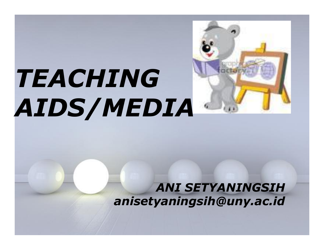# *TEACHING AIDS/MEDIA*



*ANI SETYANINGSIH anisetyaningsih@uny.ac.id*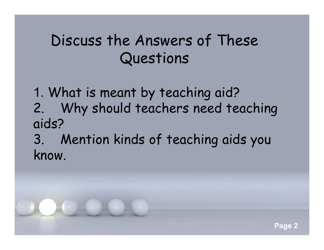### Discuss the Answers of These Questions

1. What is meant by teaching aid? 2. Why should teachers need teaching aids?

3. Mention kinds of teaching aids you know.

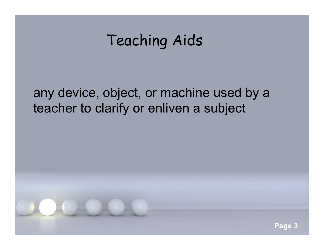### Teaching Aids

#### any device, object, or machine used by a teacher to clarify or enliven a subject

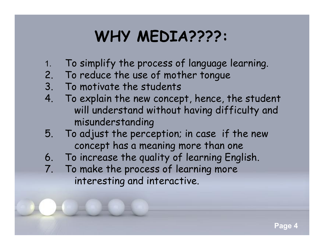### **WHY MEDIA????:**

- 1. To simplify the process of language learning.
- 2. To reduce the use of mother tongue
- 3. To motivate the students
- 4. To explain the new concept, hence, the student will understand without having difficulty and misunderstanding
- 5. To adjust the perception; in case if the new concept has a meaning more than one
- 6. To increase the quality of learning English.
- 7. To make the process of learning more interesting and interactive.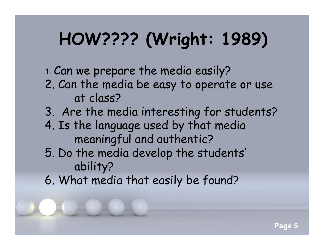# **HOW???? (Wright: 1989)**

1. Can we prepare the media easily?

- 2. Can the media be easy to operate or use at class?
- 3. Are the media interesting for students?
- 4. Is the language used by that media meaningful and authentic?
- 5. Do the media develop the students' ability?
- 6. What media that easily be found?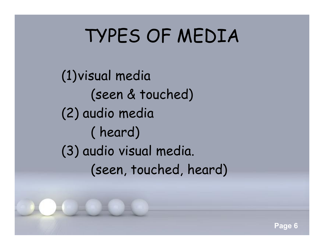# TYPES OF MEDIA

(1)visual media (seen & touched) (2) audio media ( heard) (3) audio visual media. (seen, touched, heard)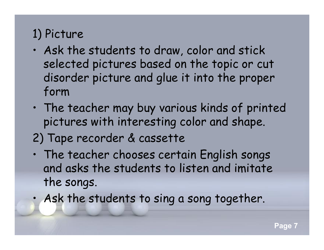#### 1) Picture

- Ask the students to draw, color and stick selected pictures based on the topic or cut disorder picture and glue it into the proper form
- The teacher may buy various kinds of printed pictures with interesting color and shape.

### 2) Tape recorder & cassette

- The teacher chooses certain English songs and asks the students to listen and imitate the songs.
	- Ask the students to sing a song together.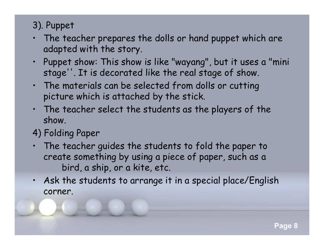#### 3). Puppet

- The teacher prepares the dolls or hand puppet which are adapted with the story.
- Puppet show: This show is like "wayang", but it uses a "mini stage''. It is decorated like the real stage of show.
- The materials can be selected from dolls or cutting picture which is attached by the stick.
- The teacher select the students as the players of the show.

#### 4) Folding Paper

- The teacher guides the students to fold the paper to create something by using a piece of paper, such as a bird, a ship, or a kite, etc.
- Ask the students to arrange it in a special place/English corner.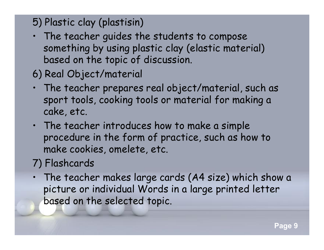#### 5) Plastic clay (plastisin)

- The teacher guides the students to compose something by using plastic clay (elastic material) based on the topic of discussion.
- 6) Real Object/material
- The teacher prepares real object/material, such as sport tools, cooking tools or material for making a cake, etc.
- The teacher introduces how to make a simple procedure in the form of practice, such as how to make cookies, omelete, etc.

#### 7) Flashcards

• The teacher makes large cards (A4 size) which show a picture or individual Words in a large printed letter based on the selected topic.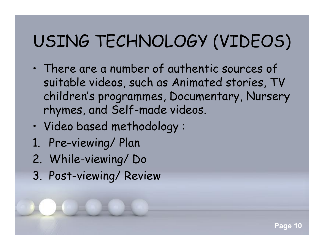### USING TECHNOLOGY (VIDEOS)

• There are a number of authentic sources of suitable videos, such as Animated stories, TV children's programmes, Documentary, Nursery rhymes, and Self-made videos.

**Page 10**

- Video based methodology :
- 1. Pre-viewing/ Plan
- 2. While-viewing/ Do
- 3. Post-viewing/ Review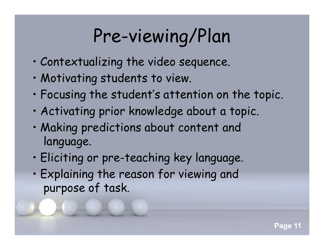# Pre-viewing/Plan

- Contextualizing the video sequence.
- Motivating students to view.
- Focusing the student's attention on the topic.
- Activating prior knowledge about a topic.
- Making predictions about content and language.
- Eliciting or pre-teaching key language.
- Explaining the reason for viewing and purpose of task.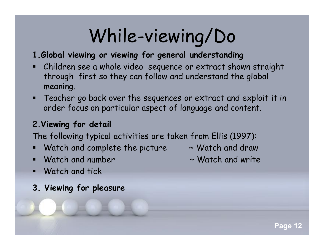# While-viewing/Do

#### **1.Global viewing or viewing for general understanding**

- Children see a whole video sequence or extract shown straight through first so they can follow and understand the global meaning.
- Teacher go back over the sequences or extract and exploit it in order focus on particular aspect of language and content.

#### **2.Viewing for detail**

The following typical activities are taken from Ellis (1997):

- Watch and complete the picture  $\sim$  Watch and draw
- $W$ atch and number  $\sim W$ atch and write
- Watch and tick
- **3. Viewing for pleasure**
- 
-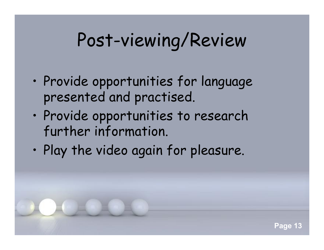## Post-viewing/Review

- Provide opportunities for language presented and practised.
- Provide opportunities to research further information.
- Play the video again for pleasure.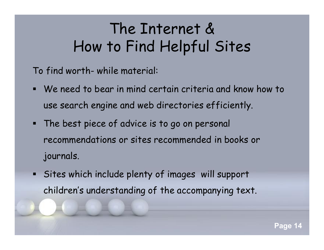### The Internet & How to Find Helpful Sites

To find worth- while material:

- We need to bear in mind certain criteria and know how to use search engine and web directories efficiently.
- **The best piece of advice is to go on personal** recommendations or sites recommended in books or journals.
- Sites which include plenty of images will support children's understanding of the accompanying text.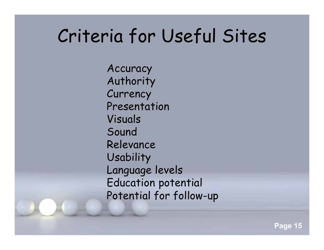### Criteria for Useful Sites

Accuracy Authority **Currency** Presentation Visuals Sound Relevance Usability Language levels Education potential Potential for follow-up